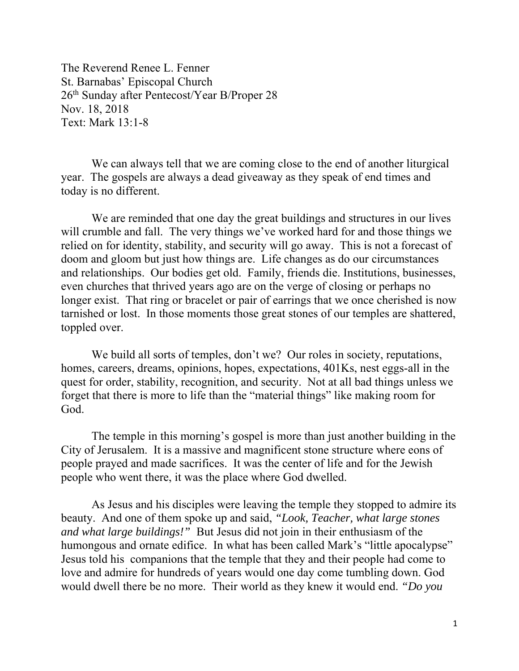The Reverend Renee L. Fenner St. Barnabas' Episcopal Church 26<sup>th</sup> Sunday after Pentecost/Year B/Proper 28 Nov. 18, 2018 Text: Mark 13:1-8

 We can always tell that we are coming close to the end of another liturgical year. The gospels are always a dead giveaway as they speak of end times and today is no different.

 We are reminded that one day the great buildings and structures in our lives will crumble and fall. The very things we've worked hard for and those things we relied on for identity, stability, and security will go away. This is not a forecast of doom and gloom but just how things are. Life changes as do our circumstances and relationships. Our bodies get old. Family, friends die. Institutions, businesses, even churches that thrived years ago are on the verge of closing or perhaps no longer exist. That ring or bracelet or pair of earrings that we once cherished is now tarnished or lost. In those moments those great stones of our temples are shattered, toppled over.

We build all sorts of temples, don't we? Our roles in society, reputations, homes, careers, dreams, opinions, hopes, expectations, 401Ks, nest eggs-all in the quest for order, stability, recognition, and security. Not at all bad things unless we forget that there is more to life than the "material things" like making room for God.

 The temple in this morning's gospel is more than just another building in the City of Jerusalem. It is a massive and magnificent stone structure where eons of people prayed and made sacrifices. It was the center of life and for the Jewish people who went there, it was the place where God dwelled.

 As Jesus and his disciples were leaving the temple they stopped to admire its beauty. And one of them spoke up and said, *"Look, Teacher, what large stones and what large buildings!"* But Jesus did not join in their enthusiasm of the humongous and ornate edifice. In what has been called Mark's "little apocalypse" Jesus told his companions that the temple that they and their people had come to love and admire for hundreds of years would one day come tumbling down. God would dwell there be no more. Their world as they knew it would end. *"Do you*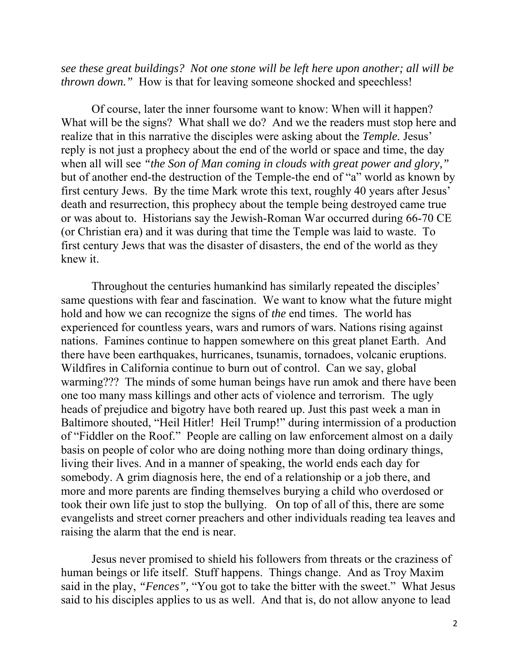*see these great buildings? Not one stone will be left here upon another; all will be thrown down.*" How is that for leaving someone shocked and speechless!

Of course, later the inner foursome want to know: When will it happen? What will be the signs? What shall we do? And we the readers must stop here and realize that in this narrative the disciples were asking about the *Temple.* Jesus' reply is not just a prophecy about the end of the world or space and time, the day when all will see *"the Son of Man coming in clouds with great power and glory,"* but of another end-the destruction of the Temple-the end of "a" world as known by first century Jews. By the time Mark wrote this text, roughly 40 years after Jesus' death and resurrection, this prophecy about the temple being destroyed came true or was about to. Historians say the Jewish-Roman War occurred during 66-70 CE (or Christian era) and it was during that time the Temple was laid to waste. To first century Jews that was the disaster of disasters, the end of the world as they knew it.

Throughout the centuries humankind has similarly repeated the disciples' same questions with fear and fascination. We want to know what the future might hold and how we can recognize the signs of *the* end times. The world has experienced for countless years, wars and rumors of wars. Nations rising against nations. Famines continue to happen somewhere on this great planet Earth. And there have been earthquakes, hurricanes, tsunamis, tornadoes, volcanic eruptions. Wildfires in California continue to burn out of control. Can we say, global warming??? The minds of some human beings have run amok and there have been one too many mass killings and other acts of violence and terrorism. The ugly heads of prejudice and bigotry have both reared up. Just this past week a man in Baltimore shouted, "Heil Hitler! Heil Trump!" during intermission of a production of "Fiddler on the Roof." People are calling on law enforcement almost on a daily basis on people of color who are doing nothing more than doing ordinary things, living their lives. And in a manner of speaking, the world ends each day for somebody. A grim diagnosis here, the end of a relationship or a job there, and more and more parents are finding themselves burying a child who overdosed or took their own life just to stop the bullying. On top of all of this, there are some evangelists and street corner preachers and other individuals reading tea leaves and raising the alarm that the end is near.

Jesus never promised to shield his followers from threats or the craziness of human beings or life itself. Stuff happens. Things change. And as Troy Maxim said in the play, *"Fences",* "You got to take the bitter with the sweet." What Jesus said to his disciples applies to us as well. And that is, do not allow anyone to lead